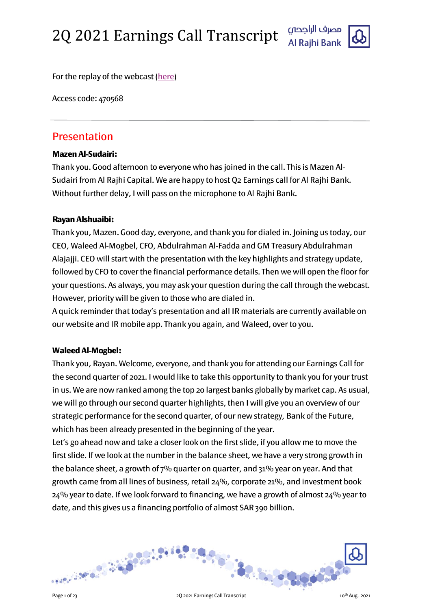

For the replay of the webcast [\(here\)](https://www.incommglobalevents.com/replay/6571/2q-2021-earnings-call-and-webcast/)

Access code: 470568

# Presentation

# Mazen Al-Sudairi:

Thank you. Good afternoon to everyone who has joined in the call. This is Mazen Al-Sudairi from Al Rajhi Capital. We are happy to host Q2 Earnings call for Al Rajhi Bank. Without further delay, I will pass on the microphone to Al Rajhi Bank.

### Rayan Alshuaibi:

Thank you, Mazen. Good day, everyone, and thank you for dialed in. Joining us today, our CEO, Waleed Al-Mogbel, CFO, Abdulrahman Al-Fadda and GM Treasury Abdulrahman Alajajji. CEO will start with the presentation with the key highlights and strategy update, followed by CFO to cover the financial performance details. Then we will open the floor for your questions. As always, you may ask your question during the call through the webcast. However, priority will be given to those who are dialed in.

A quick reminder that today's presentation and all IR materials are currently available on our website and IR mobile app. Thank you again, and Waleed, over to you.

# Waleed Al-Mogbel:

Thank you, Rayan. Welcome, everyone, and thank you for attending our Earnings Call for the second quarter of 2021. I would like to take this opportunity to thank you for your trust in us. We are now ranked among the top 20 largest banks globally by market cap. As usual, we will go through our second quarter highlights, then I will give you an overview of our strategic performance for the second quarter, of our new strategy, Bank of the Future, which has been already presented in the beginning of the year.

Let's go ahead now and take a closer look on the first slide, if you allow me to move the first slide. If we look at the number in the balance sheet, we have a very strong growth in the balance sheet, a growth of 7% quarter on quarter, and 31% year on year. And that growth came from all lines of business, retail 24%, corporate 21%, and investment book  $24\%$  year to date. If we look forward to financing, we have a growth of almost  $24\%$  year to date, and this gives us a financing portfolio of almost SAR 390 billion.

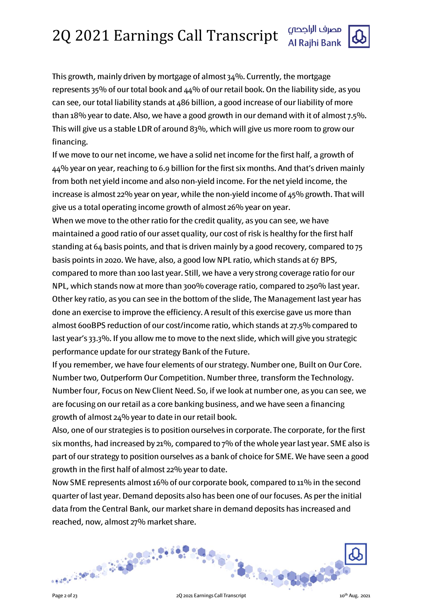This growth, mainly driven by mortgage of almost  $34\%$ . Currently, the mortgage represents 35% of our total book and 44% of our retail book. On the liability side, as you can see, our total liability stands at 486 billion, a good increase of our liability of more than 18% year to date. Also, we have a good growth in our demand with it of almost 7.5%. This will give us a stable LDR of around 83%, which will give us more room to grow our financing.

If we move to our net income, we have a solid net income for the first half, a growth of 44% year on year, reaching to 6.9 billion for the first six months. And that's driven mainly from both net yield income and also non-yield income. For the net yield income, the increase is almost 22% year on year, while the non-yield income of  $45%$  growth. That will give us a total operating income growth of almost 26% year on year.

When we move to the other ratio for the credit quality, as you can see, we have maintained a good ratio of our asset quality, our cost of risk is healthy for the first half standing at 64 basis points, and that is driven mainly by a good recovery, compared to 75 basis points in 2020. We have, also, a good low NPL ratio, which stands at 67 BPS, compared to more than 100 last year. Still, we have a very strong coverage ratio for our NPL, which stands now at more than 300% coverage ratio, compared to 250% last year. Other key ratio, as you can see in the bottom of the slide, The Management last year has done an exercise to improve the efficiency. A result of this exercise gave us more than almost 600BPS reduction of our cost/income ratio, which stands at 27.5% compared to last year's 33.3%. If you allow me to move to the next slide, which will give you strategic performance update for our strategy Bank of the Future.

If you remember, we have four elements of our strategy. Number one, Built on Our Core. Number two, Outperform Our Competition. Number three, transform the Technology. Number four, Focus on New Client Need. So, if we look at number one, as you can see, we are focusing on our retail as a core banking business, and we have seen a financing growth of almost 24% year to date in our retail book.

Also, one of our strategies is to position ourselves in corporate. The corporate, for the first six months, had increased by 21%, compared to 7% of the whole year last year. SME also is part of our strategy to position ourselves as a bank of choice for SME. We have seen a good growth in the first half of almost 22% year to date.

Now SME represents almost 16% of our corporate book, compared to 11% in the second quarter of last year. Demand deposits also has been one of our focuses. As perthe initial data from the Central Bank, our market share in demand deposits has increased and reached, now, almost 27% market share.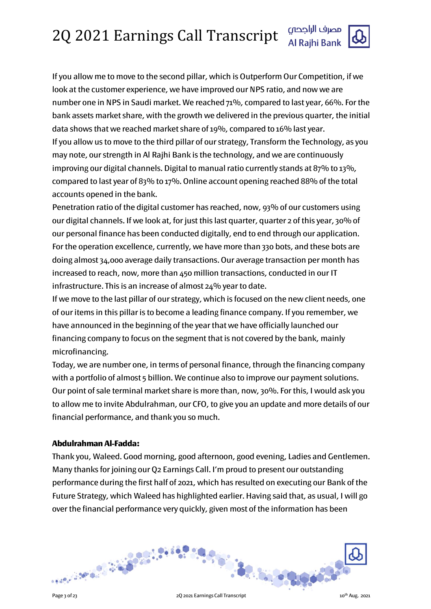If you allow me to move to the second pillar, which is Outperform Our Competition, if we look at the customer experience, we have improved our NPS ratio, and now we are number one in NPS in Saudi market. We reached 71%, compared to last year, 66%. For the bank assets market share, with the growth we delivered in the previous quarter, the initial data shows that we reached market share of 19%, compared to 16% last year. If you allow us to move to the third pillar of our strategy, Transform the Technology, as you may note, our strength in Al Rajhi Bank is the technology, and we are continuously improving our digital channels. Digital to manual ratio currently stands at 87% to 13%, compared to last year of 83% to 17%. Online account opening reached 88% of the total accounts opened in the bank.

Penetration ratio of the digital customer has reached, now, 93% of our customers using our digital channels. If we look at, for just this last quarter, quarter 2 of this year, 30% of our personal finance has been conducted digitally, end to end through our application. For the operation excellence, currently, we have more than 330 bots, and these bots are doing almost 34,000 average daily transactions. Our average transaction per month has increased to reach, now, more than 450 million transactions, conducted in our IT infrastructure. This is an increase of almost 24% year to date.

If we move to the last pillar of our strategy, which is focused on the new client needs, one of our items in this pillar is to become a leading finance company. If you remember, we have announced in the beginning of the year that we have officially launched our financing company to focus on the segment that is not covered by the bank, mainly microfinancing.

Today, we are number one, in terms of personal finance, through the financing company with a portfolio of almost 5 billion. We continue also to improve our payment solutions. Our point of sale terminal market share is more than, now, 30%. For this, I would ask you to allow me to invite Abdulrahman, our CFO, to give you an update and more details of our financial performance, and thank you so much.

# Abdulrahman Al-Fadda:

Thank you, Waleed. Good morning, good afternoon, good evening, Ladies and Gentlemen. Many thanks for joining our Q2 Earnings Call. I'm proud to present our outstanding performance during the first half of 2021, which has resulted on executing our Bank of the Future Strategy, which Waleed has highlighted earlier. Having said that, as usual, I will go over the financial performance very quickly, given most of the information has been

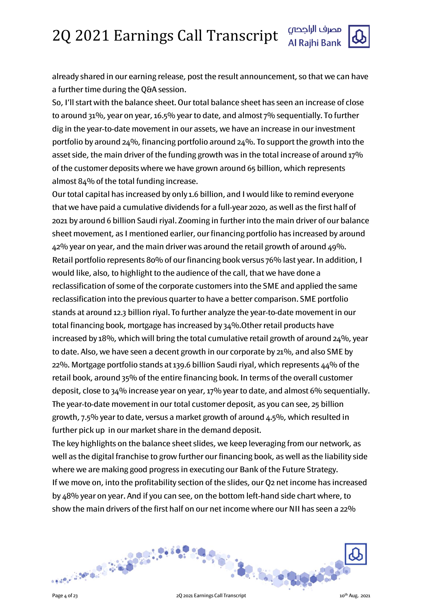

already shared in our earning release, post the result announcement, so that we can have a further time during the Q&A session.

So, I'll start with the balance sheet. Our total balance sheet has seen an increase of close to around 31%, year on year, 16.5% year to date, and almost 7% sequentially. To further dig in the year-to-date movement in our assets, we have an increase in our investment portfolio by around  $24\%$ , financing portfolio around  $24\%$ . To support the growth into the asset side, the main driver of the funding growth was in the total increase of around 17% of the customer deposits where we have grown around 65 billion, which represents almost 84% of the total funding increase.

Our total capital has increased by only 1.6 billion, and I would like to remind everyone that we have paid a cumulative dividends for a full-year 2020, as well as the first half of 2021 by around 6 billion Saudi riyal. Zooming in further into the main driver of our balance sheet movement, as I mentioned earlier, our financing portfolio has increased by around 42% year on year, and the main driver was around the retail growth of around 49%. Retail portfolio represents 80% of our financing book versus 76% last year. In addition, I would like, also, to highlight to the audience of the call, that we have done a reclassification of some of the corporate customers into the SME and applied the same reclassification into the previous quarter to have a better comparison. SME portfolio stands at around 12.3 billion riyal. To further analyze the year-to-date movement in our total financing book, mortgage has increased by 34%.Other retail products have increased by 18%, which will bring the total cumulative retail growth of around 24%, year to date. Also, we have seen a decent growth in our corporate by 21%, and also SME by 22%. Mortgage portfolio stands at 139.6 billion Saudi riyal, which represents 44% of the retail book, around 35% of the entire financing book. In terms of the overall customer deposit, close to 34% increase year on year, 17% year to date, and almost 6% sequentially. The year-to-date movement in our total customer deposit, as you can see, 25 billion growth, 7.5% year to date, versus a market growth of around 4.5%, which resulted in further pick up in our market share in the demand deposit.

The key highlights on the balance sheet slides, we keep leveraging from our network, as well as the digital franchise to grow further our financing book, as well as the liability side where we are making good progress in executing our Bank of the Future Strategy. If we move on, into the profitability section of the slides, our Q2 net income has increased by 48% year on year. And if you can see, on the bottom left-hand side chart where, to show the main drivers of the first half on our net income where our NII has seen a 22%

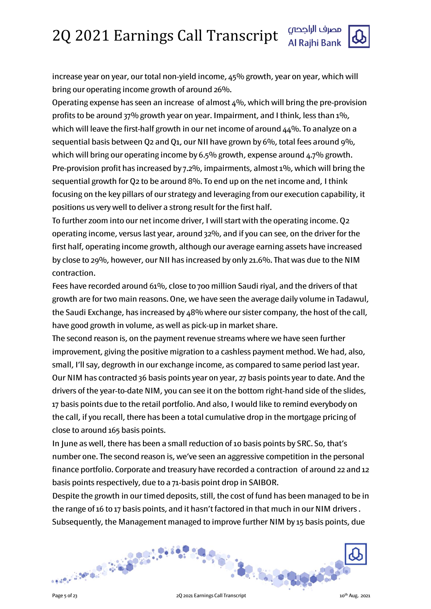increase year on year, our total non-yield income, 45% growth, year on year, which will bring our operating income growth of around 26%.

Operating expense has seen an increase of almost 4%, which will bring the pre-provision profits to be around 37% growth year on year. Impairment, and I think, less than 1%, which will leave the first-half growth in our net income of around 44%. To analyze on a sequential basis between Q2 and Q1, our NII have grown by 6%, total fees around 9%, which will bring our operating income by 6.5% growth, expense around  $4.7\%$  growth. Pre-provision profit has increased by 7.2%, impairments, almost 1%, which will bring the sequential growth for Q2 to be around 8%. To end up on the net income and, I think focusing on the key pillars of our strategy and leveraging from our execution capability, it positions us very well to deliver a strong result for the first half.

To further zoom into our net income driver, I will start with the operating income. Q2 operating income, versus last year, around 32%, and if you can see, on the driver for the first half, operating income growth, although our average earning assets have increased by close to 29%, however, our NII has increased by only 21.6%. That was due to the NIM contraction.

Fees have recorded around 61%, close to 700 million Saudi riyal, and the drivers of that growth are for two main reasons. One, we have seen the average daily volume in Tadawul, the Saudi Exchange, has increased by 48% where our sister company, the host of the call, have good growth in volume, as well as pick-up in market share.

The second reason is, on the payment revenue streams where we have seen further improvement, giving the positive migration to a cashless payment method. We had, also, small, I'll say, degrowth in our exchange income, as compared to same period last year. Our NIM has contracted 36 basis points year on year, 27 basis points year to date. And the drivers of the year-to-date NIM, you can see it on the bottom right-hand side of the slides, 17 basis points due to the retail portfolio. And also, I would like to remind everybody on the call, if you recall, there has been a total cumulative drop in the mortgage pricing of close to around 165 basis points.

In June as well, there has been a small reduction of 10 basis points by SRC. So, that's number one. The second reason is, we've seen an aggressive competition in the personal finance portfolio. Corporate and treasury have recorded a contraction of around 22 and 12 basis points respectively, due to a 71-basis point drop in SAIBOR.

Despite the growth in our timed deposits, still, the cost of fund has been managed to be in the range of 16 to 17 basis points, and it hasn't factored in that much in our NIM drivers . Subsequently, the Management managed to improve further NIM by 15 basis points, due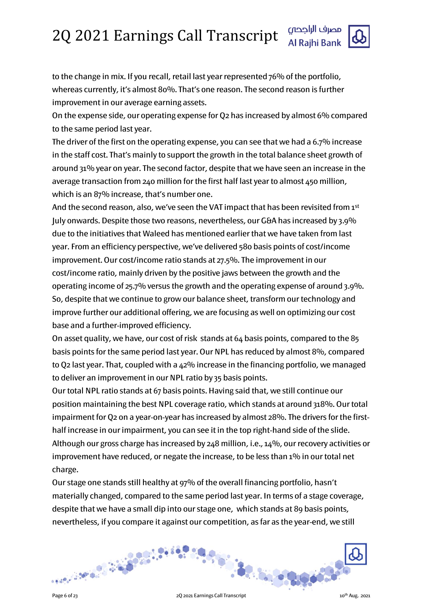

to the change in mix. If you recall, retail last year represented 76% of the portfolio, whereas currently, it's almost 80%. That's one reason. The second reason is further improvement in our average earning assets.

On the expense side, our operating expense for Q2 has increased by almost 6% compared to the same period last year.

The driver of the first on the operating expense, you can see that we had a 6.7% increase in the staff cost. That's mainly to support the growth in the total balance sheet growth of around 31% year on year. The second factor, despite that we have seen an increase in the average transaction from 240 million for the first half last year to almost 450 million, which is an 87% increase, that's number one.

And the second reason, also, we've seen the VAT impact that has been revisited from 1st July onwards. Despite those two reasons, nevertheless, our G&A has increased by 3.9% due to the initiatives that Waleed has mentioned earlier that we have taken from last year. From an efficiency perspective, we've delivered 580 basis points of cost/income improvement. Our cost/income ratio stands at 27.5%. The improvement in our cost/income ratio, mainly driven by the positive jaws between the growth and the operating income of 25.7% versus the growth and the operating expense of around 3.9%. So, despite that we continue to grow our balance sheet, transform our technology and improve further our additional offering, we are focusing as well on optimizing our cost base and a further-improved efficiency.

On asset quality, we have, our cost of risk stands at 64 basis points, compared to the 85 basis points for the same period last year. Our NPL has reduced by almost 8%, compared to Q2 last year. That, coupled with a 42% increase in the financing portfolio, we managed to deliver an improvement in our NPL ratio by 35 basis points.

Our total NPL ratio stands at 67 basis points. Having said that, we still continue our position maintaining the best NPL coverage ratio, which stands at around 318%. Our total impairment for Q2 on a year-on-year has increased by almost 28%. The drivers for the firsthalf increase in our impairment, you can see it in the top right-hand side of the slide. Although our gross charge has increased by 248 million, i.e., 14%, our recovery activities or improvement have reduced, or negate the increase, to be less than 1% in our total net charge.

Our stage one stands still healthy at 97% of the overall financing portfolio, hasn't materially changed, compared to the same period last year. In terms of a stage coverage, despite that we have a small dip into our stage one, which stands at 89 basis points, nevertheless, if you compare it against our competition, as far as the year-end, we still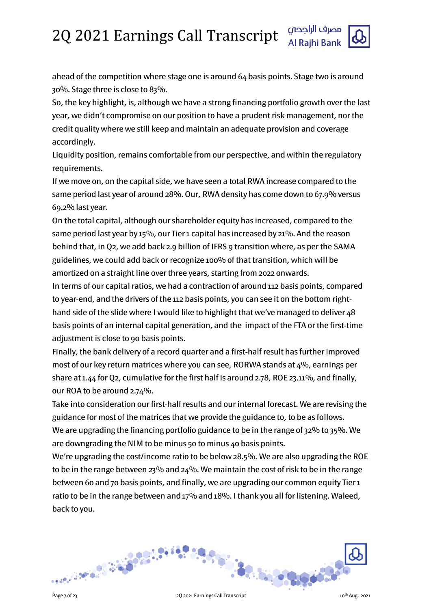

ahead of the competition where stage one is around 64 basis points. Stage two is around 30%. Stage three is close to 83%.

So, the key highlight, is, although we have a strong financing portfolio growth over the last year, we didn't compromise on our position to have a prudent risk management, nor the credit quality where we still keep and maintain an adequate provision and coverage accordingly.

Liquidity position, remains comfortable from our perspective, and within the regulatory requirements.

If we move on, on the capital side, we have seen a total RWA increase compared to the same period last year of around 28%. Our, RWA density has come down to 67.9% versus 69.2% last year.

On the total capital, although our shareholder equity has increased, compared to the same period last year by 15%, our Tier 1 capital has increased by 21%. And the reason behind that, in Q2, we add back 2.9 billion of IFRS 9 transition where, as per the SAMA guidelines, we could add back or recognize 100% of that transition, which will be amortized on a straight line over three years, starting from 2022 onwards.

In terms of our capital ratios, we had a contraction of around 112 basis points, compared to year-end, and the drivers of the 112 basis points, you can see it on the bottom righthand side of the slide where I would like to highlight that we've managed to deliver 48 basis points of an internal capital generation, and the impact of the FTA or the first-time adjustment is close to 90 basis points.

Finally, the bank delivery of a record quarter and a first-half result has further improved most of our key return matrices where you can see, RORWA stands at  $4\%$ , earnings per share at 1.44 for Q2, cumulative for the first half is around 2.78, ROE 23.11%, and finally, our ROA to be around 2.74%.

Take into consideration our first-half results and our internal forecast. We are revising the guidance for most of the matrices that we provide the guidance to, to be as follows. We are upgrading the financing portfolio guidance to be in the range of 32% to 35%. We are downgrading the NIM to be minus 50 to minus 40 basis points.

We're upgrading the cost/income ratio to be below 28.5%. We are also upgrading the ROE to be in the range between 23% and 24%. We maintain the cost of risk to be in the range between 60 and 70 basis points, and finally, we are upgrading our common equity Tier 1 ratio to be in the range between and 17% and 18%. I thank you all for listening. Waleed, back to you.

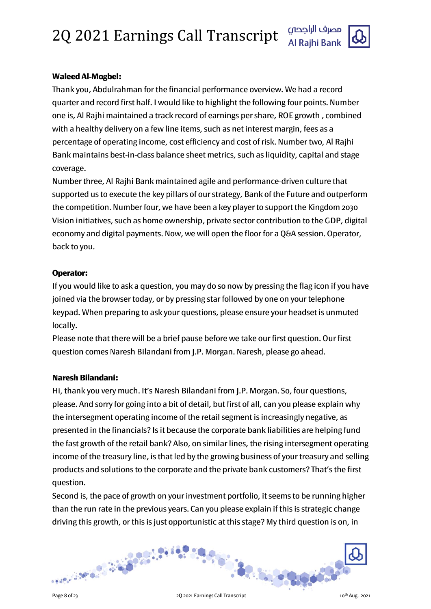

# Waleed Al-Mogbel:

Thank you, Abdulrahman for the financial performance overview. We had a record quarter and record first half. I would like to highlight the following four points. Number one is, Al Rajhi maintained a track record of earnings per share, ROE growth , combined with a healthy delivery on a few line items, such as net interest margin, fees as a percentage of operating income, cost efficiency and cost of risk. Number two, Al Rajhi Bank maintains best-in-class balance sheet metrics, such as liquidity, capital and stage coverage.

Number three, Al Rajhi Bank maintained agile and performance-driven culture that supported us to execute the key pillars of our strategy, Bank of the Future and outperform the competition. Number four, we have been a key player to support the Kingdom 2030 Vision initiatives, such as home ownership, private sector contribution to the GDP, digital economy and digital payments. Now, we will open the floor for a Q&A session. Operator, back to you.

# Operator:

If you would like to ask a question, you may do so now by pressing the flag icon if you have joined via the browser today, or by pressing star followed by one on your telephone keypad. When preparing to ask your questions, please ensure your headset is unmuted locally.

Please note that there will be a brief pause before we take our first question. Our first question comes Naresh Bilandani from J.P. Morgan. Naresh, please go ahead.

# Naresh Bilandani:

Hi, thank you very much. It's Naresh Bilandani from J.P. Morgan. So, four questions, please. And sorry for going into a bit of detail, but first of all, can you please explain why the intersegment operating income of the retail segment is increasingly negative, as presented in the financials? Is it because the corporate bank liabilities are helping fund the fast growth of the retail bank? Also, on similar lines, the rising intersegment operating income of the treasury line, is that led by the growing business of your treasury and selling products and solutions to the corporate and the private bank customers? That's the first question.

Second is, the pace of growth on your investment portfolio, it seems to be running higher than the run rate in the previous years. Can you please explain if this is strategic change driving this growth, or this is just opportunistic at this stage? My third question is on, in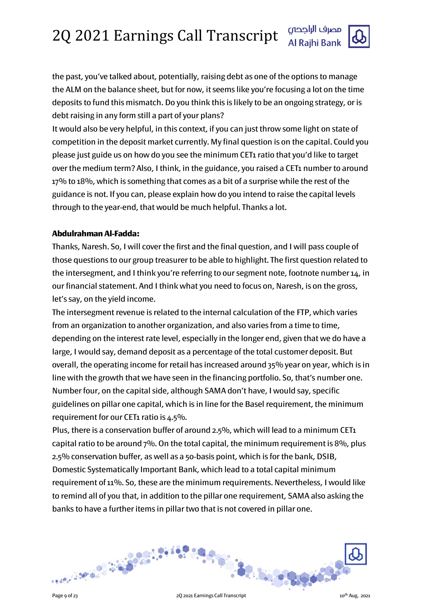

the past, you've talked about, potentially, raising debt as one of the options to manage the ALM on the balance sheet, but for now, it seems like you're focusing a lot on the time deposits to fund this mismatch. Do you think this is likely to be an ongoing strategy, or is debt raising in any form still a part of your plans?

It would also be very helpful, in this context, if you can just throw some light on state of competition in the deposit market currently. My final question is on the capital. Could you please just guide us on how do you see the minimum CET1 ratio that you'd like to target over the medium term? Also, I think, in the guidance, you raised a CET1 number to around 17% to 18%, which is something that comes as a bit of a surprise while the rest of the guidance is not. If you can, please explain how do you intend to raise the capital levels through to the year-end, that would be much helpful. Thanks a lot.

# Abdulrahman Al-Fadda:

Thanks, Naresh. So, I will cover the first and the final question, and I will pass couple of those questions to our group treasurer to be able to highlight. The first question related to the intersegment, and I think you're referring to our segment note, footnote number 14, in our financial statement. And I think what you need to focus on, Naresh, is on the gross, let's say, on the yield income.

The intersegment revenue is related to the internal calculation of the FTP, which varies from an organization to another organization, and also varies from a time to time, depending on the interest rate level, especially in the longer end, given that we do have a large, I would say, demand deposit as a percentage of the total customer deposit. But overall, the operating income for retail has increased around 35% year on year, which is in line with the growth that we have seen in the financing portfolio. So, that's number one. Number four, on the capital side, although SAMA don't have, I would say, specific guidelines on pillar one capital, which is in line for the Basel requirement, the minimum requirement for our CET1 ratio is 4.5%.

Plus, there is a conservation buffer of around 2.5%, which will lead to a minimum CET1 capital ratio to be around 7%. On the total capital, the minimum requirement is 8%, plus 2.5% conservation buffer, as well as a 50-basis point, which is for the bank, DSIB, Domestic Systematically Important Bank, which lead to a total capital minimum requirement of 11%. So, these are the minimum requirements. Nevertheless, I would like to remind all of you that, in addition to the pillar one requirement, SAMA also asking the banks to have a further items in pillar two that is not covered in pillar one.

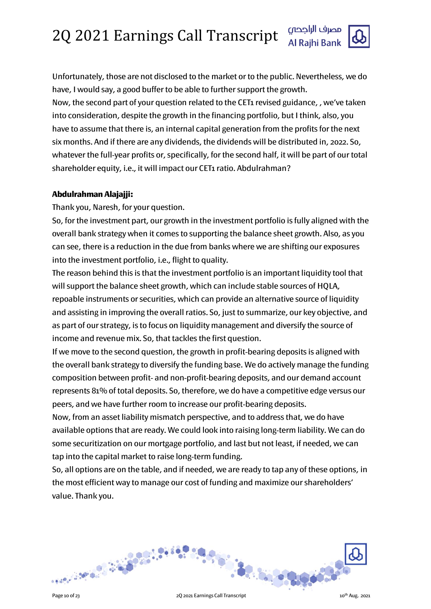Unfortunately, those are not disclosed to the market or to the public. Nevertheless, we do have, I would say, a good buffer to be able to further support the growth. Now, the second part of your question related to the CET1 revised guidance, , we've taken into consideration, despite the growth in the financing portfolio, but I think, also, you have to assume that there is, an internal capital generation from the profits for the next six months. And if there are any dividends, the dividends will be distributed in, 2022. So, whatever the full-year profits or, specifically, for the second half, it will be part of our total shareholder equity, i.e., it will impact our CET1 ratio. Abdulrahman?

# Abdulrahman Alajajji:

Thank you, Naresh, for your question.

So, for the investment part, our growth in the investment portfolio is fully aligned with the overall bank strategy when it comes to supporting the balance sheet growth. Also, as you can see, there is a reduction in the due from banks where we are shifting our exposures into the investment portfolio, i.e., flight to quality.

The reason behind this is that the investment portfolio is an important liquidity tool that will support the balance sheet growth, which can include stable sources of HQLA, repoable instruments or securities, which can provide an alternative source of liquidity and assisting in improving the overall ratios. So, just to summarize, our key objective, and as part of our strategy, is to focus on liquidity management and diversify the source of income and revenue mix. So, that tackles the first question.

If we move to the second question, the growth in profit-bearing deposits is aligned with the overall bank strategy to diversify the funding base. We do actively manage the funding composition between profit- and non-profit-bearing deposits, and our demand account represents 81% of total deposits. So, therefore, we do have a competitive edge versus our peers, and we have further room to increase our profit-bearing deposits.

Now, from an asset liability mismatch perspective, and to address that, we do have available options that are ready. We could look into raising long-term liability. We can do some securitization on our mortgage portfolio, and last but not least, if needed, we can tap into the capital market to raise long-term funding.

So, all options are on the table, and if needed, we are ready to tap any of these options, in the most efficient way to manage our cost of funding and maximize our shareholders' value. Thank you.

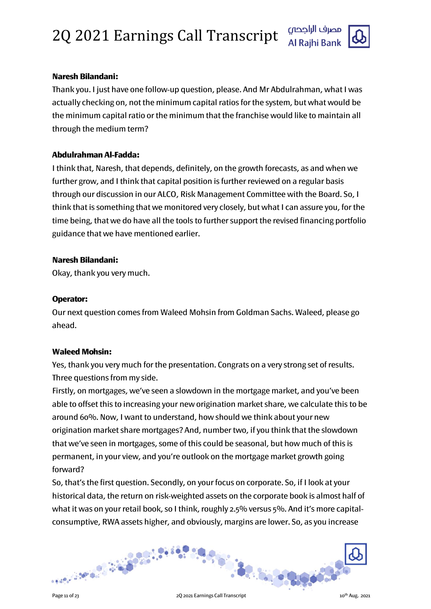



# Naresh Bilandani:

Thank you. I just have one follow-up question, please. And Mr Abdulrahman, what I was actually checking on, not the minimum capital ratios for the system, but what would be the minimum capital ratio or the minimum that the franchise would like to maintain all through the medium term?

# Abdulrahman Al-Fadda:

I think that, Naresh, that depends, definitely, on the growth forecasts, as and when we further grow, and I think that capital position is further reviewed on a regular basis through our discussion in our ALCO, Risk Management Committee with the Board. So, I think that is something that we monitored very closely, but what I can assure you, for the time being, that we do have all the tools to further support the revised financing portfolio guidance that we have mentioned earlier.

### Naresh Bilandani:

Okay, thank you very much.

### Operator:

Our next question comes from Waleed Mohsin from Goldman Sachs. Waleed, please go ahead.

#### Waleed Mohsin:

Yes, thank you very much for the presentation. Congrats on a very strong set of results. Three questions from my side.

Firstly, on mortgages, we've seen a slowdown in the mortgage market, and you've been able to offset this to increasing your new origination market share, we calculate this to be around 60%. Now, I want to understand, how should we think about your new origination market share mortgages? And, number two, if you think that the slowdown that we've seen in mortgages, some of this could be seasonal, but how much of this is permanent, in your view, and you're outlook on the mortgage market growth going forward?

So, that's the first question. Secondly, on your focus on corporate. So, if I look at your historical data, the return on risk-weighted assets on the corporate book is almost half of what it was on your retail book, so I think, roughly 2.5% versus 5%. And it's more capitalconsumptive, RWA assets higher, and obviously, margins are lower. So, as you increase

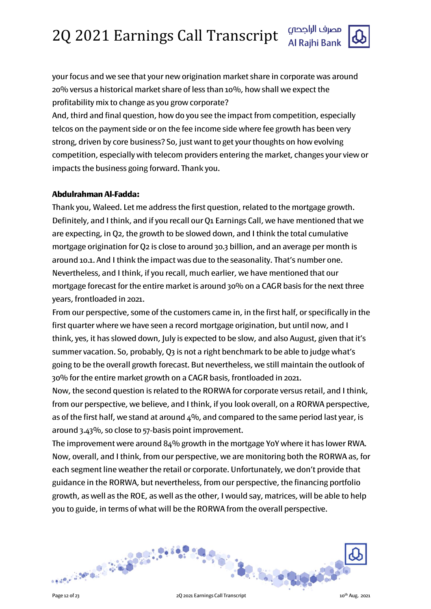

your focus and we see that your new origination market share in corporate was around 20% versus a historical market share of less than 10%, how shall we expect the profitability mix to change as you grow corporate?

And, third and final question, how do you see the impact from competition, especially telcos on the payment side or on the fee income side where fee growth has been very strong, driven by core business? So, just want to get your thoughts on how evolving competition, especially with telecom providers entering the market, changes your view or impacts the business going forward. Thank you.

# Abdulrahman Al-Fadda:

Thank you, Waleed. Let me address the first question, related to the mortgage growth. Definitely, and I think, and if you recall our Q1 Earnings Call, we have mentioned that we are expecting, in Q2, the growth to be slowed down, and I think the total cumulative mortgage origination for Q2 is close to around 30.3 billion, and an average per month is around 10.1. And I think the impact was due to the seasonality. That's number one. Nevertheless, and I think, if you recall, much earlier, we have mentioned that our mortgage forecast for the entire market is around 30% on a CAGR basis for the next three years, frontloaded in 2021.

From our perspective, some of the customers came in, in the first half, or specifically in the first quarter where we have seen a record mortgage origination, but until now, and I think, yes, it has slowed down, July is expected to be slow, and also August, given that it's summer vacation. So, probably, Q3 is not a right benchmark to be able to judge what's going to be the overall growth forecast. But nevertheless, we still maintain the outlook of 30% for the entire market growth on a CAGR basis, frontloaded in 2021.

Now, the second question is related to the RORWA for corporate versus retail, and I think, from our perspective, we believe, and I think, if you look overall, on a RORWA perspective, as of the first half, we stand at around  $4\%$ , and compared to the same period last year, is around 3.43%, so close to 57-basis point improvement.

The improvement were around 84% growth in the mortgage YoY where it has lower RWA. Now, overall, and I think, from our perspective, we are monitoring both the RORWA as, for each segment line weather the retail or corporate. Unfortunately, we don't provide that guidance in the RORWA, but nevertheless, from our perspective, the financing portfolio growth, as well as the ROE, as well as the other, I would say, matrices, will be able to help you to guide, in terms of what will be the RORWA from the overall perspective.

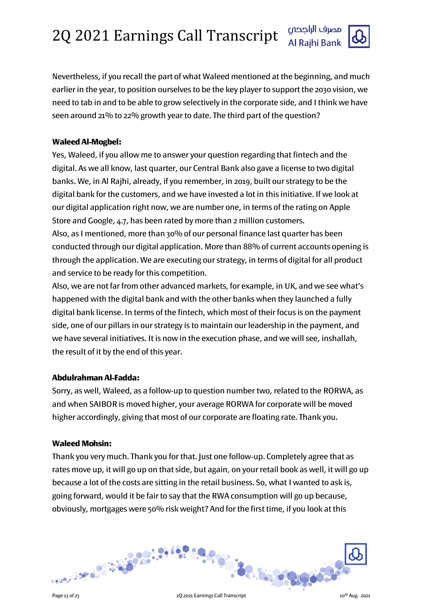

Nevertheless, if you recall the part of what Waleed mentioned at the beginning, and much earlier in the year, to position ourselves to be the key player to support the 2030 vision, we need to tab in and to be able to grow selectively in the corporate side, and I think we have seen around 21% to 22% growth year to date. The third part of the question?

# Waleed Al-Mogbel:

Yes, Waleed, if you allow me to answer your question regarding that fintech and the digital. As we all know, last quarter, our Central Bank also gave a license to two digital banks. We, in Al Rajhi, already, if you remember, in 2019, built our strategy to be the digital bank for the customers, and we have invested a lot in this initiative. If we look at our digital application right now, we are number one, in terms of the rating on Apple Store and Google, 4.7, has been rated by more than 2 million customers. Also, as I mentioned, more than 30% of our personal finance last quarter has been conducted through our digital application. More than 88% of current accounts opening is through the application. We are executing our strategy, in terms of digital for all product and service to be ready for this competition.

Also, we are not far from other advanced markets, for example, in UK, and we see what's happened with the digital bank and with the other banks when they launched a fully digital bank license. In terms of the fintech, which most of their focus is on the payment side, one of our pillars in our strategy is to maintain our leadership in the payment, and we have several initiatives. It is now in the execution phase, and we will see, inshallah, the result of it by the end of this year.

# Abdulrahman Al-Fadda:

Sorry, as well, Waleed, as a follow-up to question number two, related to the RORWA, as and when SAIBOR is moved higher, your average RORWA for corporate will be moved higher accordingly, giving that most of our corporate are floating rate. Thank you.

# Waleed Mohsin:

Thank you very much. Thank you for that. Just one follow-up. Completely agree that as rates move up, it will go up on that side, but again, on your retail book as well, it will go up because a lot of the costs are sitting in the retail business. So, what I wanted to ask is, going forward, would it be fair to say that the RWA consumption will go up because, obviously, mortgages were 50% risk weight? And for the first time, if you look at this

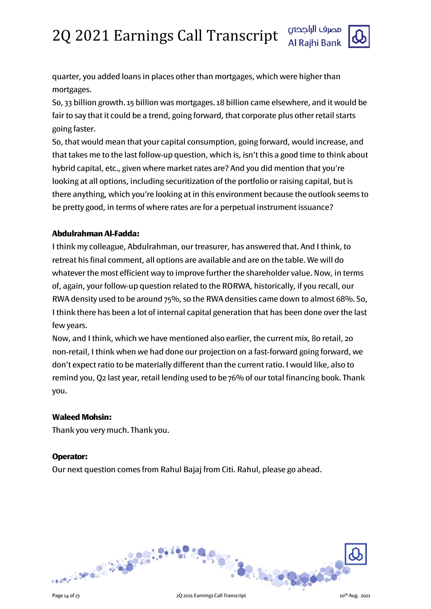

quarter, you added loans in places other than mortgages, which were higher than mortgages.

So, 33 billion growth. 15 billion was mortgages. 18 billion came elsewhere, and it would be fair to say that it could be a trend, going forward, that corporate plus other retail starts going faster.

So, that would mean that your capital consumption, going forward, would increase, and that takes me to the last follow-up question, which is, isn't this a good time to think about hybrid capital, etc., given where market rates are? And you did mention that you're looking at all options, including securitization of the portfolio or raising capital, but is there anything, which you're looking at in this environment because the outlook seems to be pretty good, in terms of where rates are for a perpetual instrument issuance?

# Abdulrahman Al-Fadda:

I think my colleague, Abdulrahman, our treasurer, has answered that. And I think, to retreat his final comment, all options are available and are on the table. We will do whatever the most efficient way to improve further the shareholder value. Now, in terms of, again, your follow-up question related to the RORWA, historically, if you recall, our RWA density used to be around 75%, so the RWA densities came down to almost 68%. So, I think there has been a lot of internal capital generation that has been done over the last few years.

Now, and I think, which we have mentioned also earlier, the current mix, 80 retail, 20 non-retail, I think when we had done our projection on a fast-forward going forward, we don't expect ratio to be materially different than the current ratio. I would like, also to remind you, Q2 last year, retail lending used to be 76% of our total financing book. Thank you.

# Waleed Mohsin:

Thank you very much. Thank you.

#### Operator:

Our next question comes from Rahul Bajaj from Citi. Rahul, please go ahead.

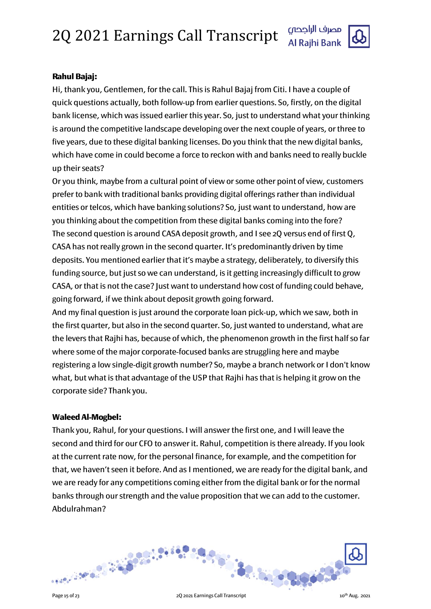

### Rahul Bajaj:

Hi, thank you, Gentlemen, for the call. This is Rahul Bajaj from Citi. I have a couple of quick questions actually, both follow-up from earlier questions. So, firstly, on the digital bank license, which was issued earlier this year. So, just to understand what your thinking is around the competitive landscape developing over the next couple of years, or three to five years, due to these digital banking licenses. Do you think that the new digital banks, which have come in could become a force to reckon with and banks need to really buckle up their seats?

Or you think, maybe from a cultural point of view or some other point of view, customers prefer to bank with traditional banks providing digital offerings rather than individual entities or telcos, which have banking solutions? So, just want to understand, how are you thinking about the competition from these digital banks coming into the fore? The second question is around CASA deposit growth, and I see 2Q versus end of first Q, CASA has not really grown in the second quarter. It's predominantly driven by time deposits. You mentioned earlier that it's maybe a strategy, deliberately, to diversify this funding source, but just so we can understand, is it getting increasingly difficult to grow CASA, or that is not the case? Just want to understand how cost of funding could behave, going forward, if we think about deposit growth going forward.

And my final question is just around the corporate loan pick-up, which we saw, both in the first quarter, but also in the second quarter. So, just wanted to understand, what are the levers that Rajhi has, because of which, the phenomenon growth in the first half so far where some of the major corporate-focused banks are struggling here and maybe registering a low single-digit growth number? So, maybe a branch network or I don't know what, but what is that advantage of the USP that Rajhi has that is helping it grow on the corporate side? Thank you.

#### Waleed Al-Mogbel:

Thank you, Rahul, for your questions. I will answer the first one, and I will leave the second and third for our CFO to answer it. Rahul, competition is there already. If you look at the current rate now, for the personal finance, for example, and the competition for that, we haven't seen it before. And as I mentioned, we are ready for the digital bank, and we are ready for any competitions coming either from the digital bank or for the normal banks through our strength and the value proposition that we can add to the customer. Abdulrahman?

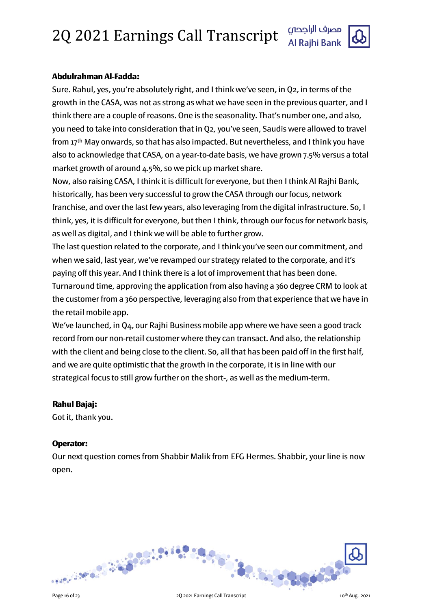

### Abdulrahman Al-Fadda:

Sure. Rahul, yes, you're absolutely right, and I think we've seen, in Q2, in terms of the growth in the CASA, was not as strong as what we have seen in the previous quarter, and I think there are a couple of reasons. One is the seasonality. That's number one, and also, you need to take into consideration that in Q2, you've seen, Saudis were allowed to travel from 17th May onwards, so that has also impacted. But nevertheless, and I think you have also to acknowledge that CASA, on a year-to-date basis, we have grown 7.5% versus a total market growth of around 4.5%, so we pick up market share.

Now, also raising CASA, I think it is difficult for everyone, but then I think Al Rajhi Bank, historically, has been very successful to grow the CASA through our focus, network franchise, and over the last few years, also leveraging from the digital infrastructure. So, I think, yes, it is difficult for everyone, but then I think, through our focus for network basis, as well as digital, and I think we will be able to further grow.

The last question related to the corporate, and I think you've seen our commitment, and when we said, last year, we've revamped our strategy related to the corporate, and it's paying off this year. And I think there is a lot of improvement that has been done.

Turnaround time, approving the application from also having a 360 degree CRM to look at the customer from a 360 perspective, leveraging also from that experience that we have in the retail mobile app.

We've launched, in Q4, our Rajhi Business mobile app where we have seen a good track record from our non-retail customer where they can transact. And also, the relationship with the client and being close to the client. So, all that has been paid off in the first half, and we are quite optimistic that the growth in the corporate, it is in line with our strategical focus to still grow further on the short-, as well as the medium-term.

#### Rahul Bajaj:

Got it, thank you.

#### Operator:

Our next question comes from Shabbir Malik from EFG Hermes. Shabbir, your line is now open.

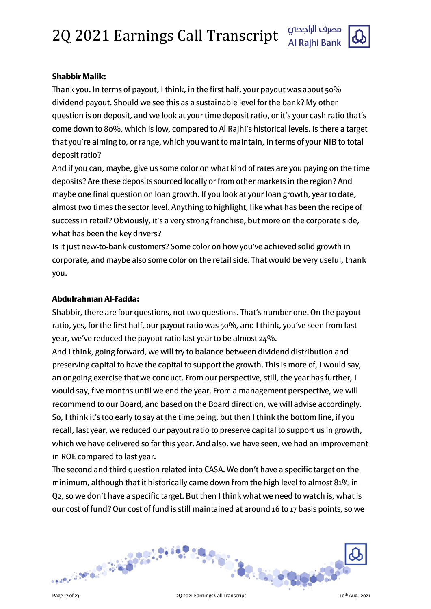

# Shabbir Malik:

Thank you. In terms of payout, I think, in the first half, your payout was about 50% dividend payout. Should we see this as a sustainable level for the bank? My other question is on deposit, and we look at your time deposit ratio, or it's your cash ratio that's come down to 80%, which is low, compared to Al Rajhi's historical levels. Is there a target that you're aiming to, or range, which you want to maintain, in terms of your NIB to total deposit ratio?

And if you can, maybe, give us some color on what kind of rates are you paying on the time deposits? Are these deposits sourced locally or from other markets in the region? And maybe one final question on loan growth. If you look at your loan growth, year to date, almost two times the sector level. Anything to highlight, like what has been the recipe of success in retail? Obviously, it's a very strong franchise, but more on the corporate side, what has been the key drivers?

Is it just new-to-bank customers? Some color on how you've achieved solid growth in corporate, and maybe also some color on the retail side. That would be very useful, thank you.

# Abdulrahman Al-Fadda:

Shabbir, there are four questions, not two questions. That's number one. On the payout ratio, yes, for the first half, our payout ratio was 50%, and I think, you've seen from last year, we've reduced the payout ratio last year to be almost 24%.

And I think, going forward, we will try to balance between dividend distribution and preserving capital to have the capital to support the growth. This is more of, I would say, an ongoing exercise that we conduct. From our perspective, still, the year has further, I would say, five months until we end the year. From a management perspective, we will recommend to our Board, and based on the Board direction, we will advise accordingly. So, I think it's too early to say at the time being, but then I think the bottom line, if you recall, last year, we reduced our payout ratio to preserve capital to support us in growth, which we have delivered so far this year. And also, we have seen, we had an improvement in ROE compared to last year.

The second and third question related into CASA. We don't have a specific target on the minimum, although that it historically came down from the high level to almost 81% in Q2, so we don't have a specific target. But then I think what we need to watch is, what is our cost of fund? Our cost of fund is still maintained at around 16 to 17 basis points, so we

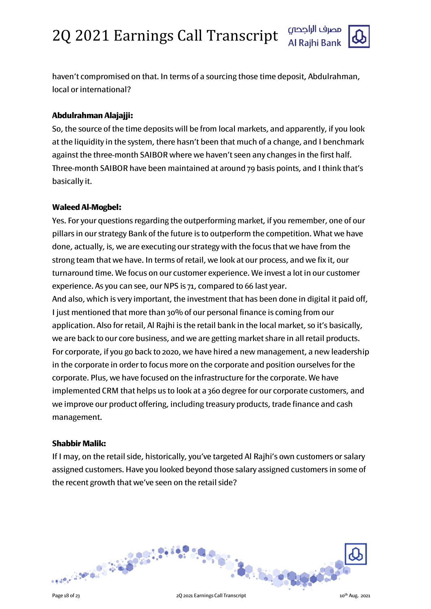

haven't compromised on that. In terms of a sourcing those time deposit, Abdulrahman, local or international?

# Abdulrahman Alajajji:

So, the source of the time deposits will be from local markets, and apparently, if you look at the liquidity in the system, there hasn't been that much of a change, and I benchmark against the three-month SAIBOR where we haven't seen any changes in the first half. Three-month SAIBOR have been maintained at around 79 basis points, and I think that's basically it.

#### Waleed Al-Mogbel:

Yes. For your questions regarding the outperforming market, if you remember, one of our pillars in our strategy Bank of the future is to outperform the competition. What we have done, actually, is, we are executing our strategy with the focus that we have from the strong team that we have. In terms of retail, we look at our process, and we fix it, our turnaround time. We focus on our customer experience. We invest a lot in our customer experience. As you can see, our NPS is 71, compared to 66 last year. And also, which is very important, the investment that has been done in digital it paid off, I just mentioned that more than 30% of our personal finance is coming from our application. Also for retail, Al Rajhi is the retail bank in the local market, so it's basically, we are back to our core business, and we are getting market share in all retail products.

For corporate, if you go back to 2020, we have hired a new management, a new leadership in the corporate in order to focus more on the corporate and position ourselves for the corporate. Plus, we have focused on the infrastructure for the corporate. We have implemented CRM that helps us to look at a 360 degree for our corporate customers, and we improve our product offering, including treasury products, trade finance and cash management.

#### Shabbir Malik:

If I may, on the retail side, historically, you've targeted Al Rajhi's own customers or salary assigned customers. Have you looked beyond those salary assigned customers in some of the recent growth that we've seen on the retail side?

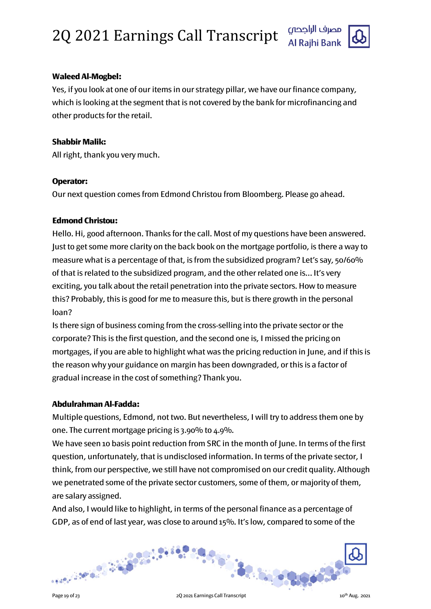

### Waleed Al-Mogbel:

Yes, if you look at one of our items in our strategy pillar, we have our finance company, which is looking at the segment that is not covered by the bank for microfinancing and other products for the retail.

#### Shabbir Malik:

All right, thank you very much.

### Operator:

Our next question comes from Edmond Christou from Bloomberg. Please go ahead.

### Edmond Christou:

Hello. Hi, good afternoon. Thanks for the call. Most of my questions have been answered. Just to get some more clarity on the back book on the mortgage portfolio, is there a way to measure what is a percentage of that, is from the subsidized program? Let's say, 50/60% of that is related to the subsidized program, and the other related one is… It's very exciting, you talk about the retail penetration into the private sectors. How to measure this? Probably, this is good for me to measure this, but is there growth in the personal loan?

Is there sign of business coming from the cross-selling into the private sector or the corporate? This is the first question, and the second one is, I missed the pricing on mortgages, if you are able to highlight what was the pricing reduction in June, and if this is the reason why your guidance on margin has been downgraded, or this is a factor of gradual increase in the cost of something? Thank you.

#### Abdulrahman Al-Fadda:

Multiple questions, Edmond, not two. But nevertheless, I will try to address them one by one. The current mortgage pricing is 3.90% to 4.9%.

We have seen 10 basis point reduction from SRC in the month of June. In terms of the first question, unfortunately, that is undisclosed information. In terms of the private sector, I think, from our perspective, we still have not compromised on our credit quality. Although we penetrated some of the private sector customers, some of them, or majority of them, are salary assigned.

And also, I would like to highlight, in terms of the personal finance as a percentage of GDP, as of end of last year, was close to around 15%. It's low, compared to some of the

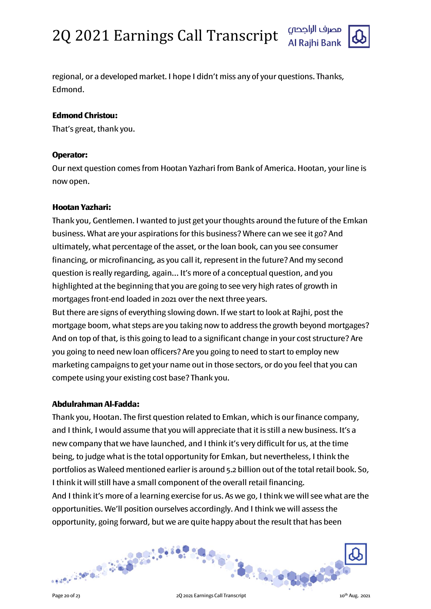

regional, or a developed market. I hope I didn't miss any of your questions. Thanks, Edmond.

# Edmond Christou:

That's great, thank you.

# Operator:

Our next question comes from Hootan Yazhari from Bank of America. Hootan, your line is now open.

# Hootan Yazhari:

Thank you, Gentlemen. I wanted to just get your thoughts around the future of the Emkan business. What are your aspirations for this business? Where can we see it go? And ultimately, what percentage of the asset, or the loan book, can you see consumer financing, or microfinancing, as you call it, represent in the future? And my second question is really regarding, again… It's more of a conceptual question, and you highlighted at the beginning that you are going to see very high rates of growth in mortgages front-end loaded in 2021 over the next three years.

But there are signs of everything slowing down. If we start to look at Rajhi, post the mortgage boom, what steps are you taking now to address the growth beyond mortgages? And on top of that, is this going to lead to a significant change in your cost structure? Are you going to need new loan officers? Are you going to need to start to employ new marketing campaigns to get your name out in those sectors, or do you feel that you can compete using your existing cost base? Thank you.

# Abdulrahman Al-Fadda:

Thank you, Hootan. The first question related to Emkan, which is our finance company, and I think, I would assume that you will appreciate that it is still a new business. It's a new company that we have launched, and I think it's very difficult for us, at the time being, to judge what is the total opportunity for Emkan, but nevertheless, I think the portfolios as Waleed mentioned earlier is around 5.2 billion out of the total retail book. So, I think it will still have a small component of the overall retail financing. And I think it's more of a learning exercise for us. As we go, I think we will see what are the opportunities. We'll position ourselves accordingly. And I think we will assess the opportunity, going forward, but we are quite happy about the result that has been

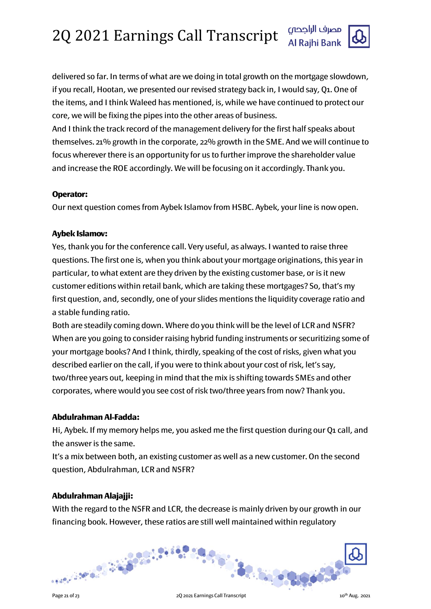

delivered so far. In terms of what are we doing in total growth on the mortgage slowdown, if you recall, Hootan, we presented our revised strategy back in, I would say, Q1. One of the items, and I think Waleed has mentioned, is, while we have continued to protect our core, we will be fixing the pipes into the other areas of business.

And I think the track record of the management delivery for the first half speaks about themselves. 21% growth in the corporate, 22% growth in the SME. And we will continue to focus wherever there is an opportunity for us to further improve the shareholder value and increase the ROE accordingly. We will be focusing on it accordingly. Thank you.

# Operator:

Our next question comes from Aybek Islamov from HSBC. Aybek, your line is now open.

# Aybek Islamov:

Yes, thank you for the conference call. Very useful, as always. I wanted to raise three questions. The first one is, when you think about your mortgage originations, this year in particular, to what extent are they driven by the existing customer base, or is it new customer editions within retail bank, which are taking these mortgages? So, that's my first question, and, secondly, one of your slides mentions the liquidity coverage ratio and a stable funding ratio.

Both are steadily coming down. Where do you think will be the level of LCR and NSFR? When are you going to consider raising hybrid funding instruments or securitizing some of your mortgage books? And I think, thirdly, speaking of the cost of risks, given what you described earlier on the call, if you were to think about your cost of risk, let's say, two/three years out, keeping in mind that the mix is shifting towards SMEs and other corporates, where would you see cost of risk two/three years from now? Thank you.

# Abdulrahman Al-Fadda:

Hi, Aybek. If my memory helps me, you asked me the first question during our Q1 call, and the answer is the same.

It's a mix between both, an existing customer as well as a new customer. On the second question, Abdulrahman, LCR and NSFR?

# Abdulrahman Alajajji:

With the regard to the NSFR and LCR, the decrease is mainly driven by our growth in our financing book. However, these ratios are still well maintained within regulatory

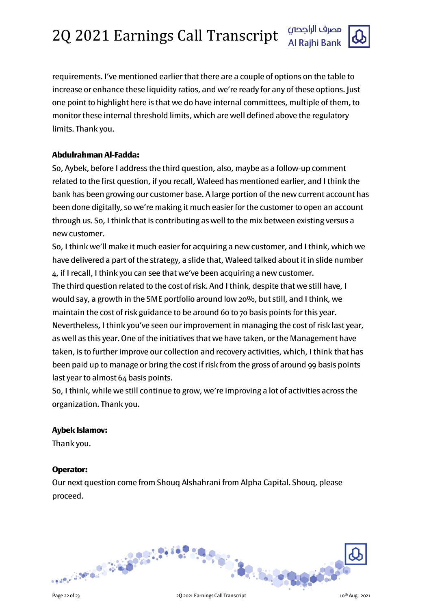

requirements. I've mentioned earlier that there are a couple of options on the table to increase or enhance these liquidity ratios, and we're ready for any of these options. Just one point to highlight here is that we do have internal committees, multiple of them, to monitor these internal threshold limits, which are well defined above the regulatory limits. Thank you.

# Abdulrahman Al-Fadda:

So, Aybek, before I address the third question, also, maybe as a follow-up comment related to the first question, if you recall, Waleed has mentioned earlier, and I think the bank has been growing our customer base. A large portion of the new current account has been done digitally, so we're making it much easier for the customer to open an account through us. So, I think that is contributing as well to the mix between existing versus a new customer.

So, I think we'll make it much easier for acquiring a new customer, and I think, which we have delivered a part of the strategy, a slide that, Waleed talked about it in slide number 4, if I recall, I think you can see that we've been acquiring a new customer.

The third question related to the cost of risk. And I think, despite that we still have, I would say, a growth in the SME portfolio around low 20%, but still, and I think, we maintain the cost of risk guidance to be around 60 to 70 basis points for this year. Nevertheless, I think you've seen our improvement in managing the cost of risk last year, as well as this year. One of the initiatives that we have taken, or the Management have taken, is to further improve our collection and recovery activities, which, I think that has been paid up to manage or bring the cost if risk from the gross of around 99 basis points last year to almost 64 basis points.

So, I think, while we still continue to grow, we're improving a lot of activities across the organization. Thank you.

# Aybek Islamov:

Thank you.

# Operator:

Our next question come from Shouq Alshahrani from Alpha Capital. Shouq, please proceed.